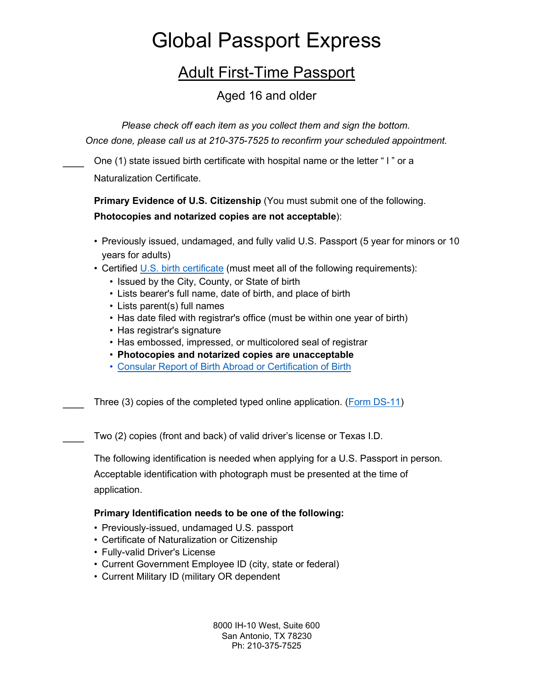### Adult First-Time Passport

#### Aged 16 and older

*Please check off each item as you collect them and sign the bottom. Once done, please call us at 210-375-7525 to reconfirm your scheduled appointment.*

One (1) state issued birth certificate with hospital name or the letter " l " or a Naturalization Certificate.

**Primary Evidence of U.S. Citizenship** (You must submit one of the following. **Photocopies and notarized copies are not acceptable**):

- Previously issued, undamaged, and fully valid U.S. Passport (5 year for minors or 10 years for adults)
- Certified [U.S. birth certificate](https://travel.state.gov/content/travel/en/passports/how-apply/citizenship-evidence.html) (must meet all of the following requirements):
	- Issued by the City, County, or State of birth
	- Lists bearer's full name, date of birth, and place of birth
	- Lists parent(s) full names
	- Has date filed with registrar's office (must be within one year of birth)
	- Has registrar's signature
	- Has embossed, impressed, or multicolored seal of registrar
	- **Photocopies and notarized copies are unacceptable**
	- [Consular Report of Birth Abroad or Certification of Birth](https://travel.state.gov/content/travel/en/international-travel/while-abroad/birth-abroad.html)

Three (3) copies of the completed typed online application. [\(Form DS-11\)](https://pptform.state.gov/?Submit2=COMPLETE+FORM+DS-11+ONLINE)

Two (2) copies (front and back) of valid driver's license or Texas I.D.

The following identification is needed when applying for a U.S. Passport in person.

Acceptable identification with photograph must be presented at the time of application.

#### **Primary Identification needs to be one of the following:**

- Previously-issued, undamaged U.S. passport
- Certificate of Naturalization or Citizenship
- Fully-valid Driver's License
- Current Government Employee ID (city, state or federal)
- Current Military ID (military OR dependent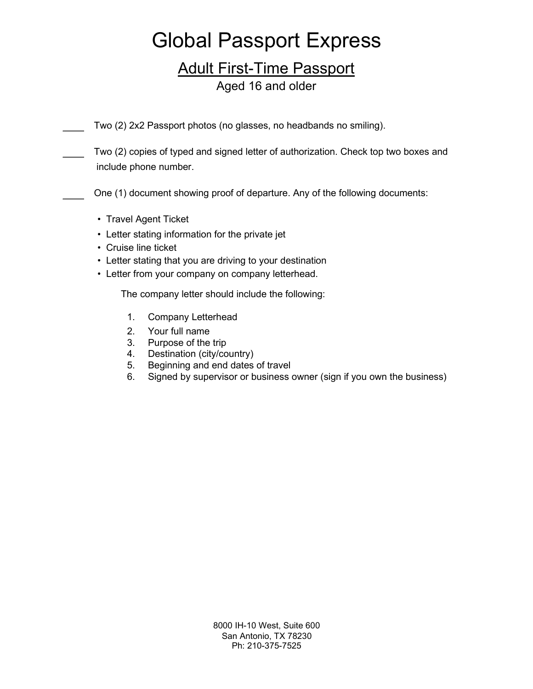## Adult First-Time Passport

Aged 16 and older

Two (2) 2x2 Passport photos (no glasses, no headbands no smiling).

Two (2) copies of typed and signed letter of authorization. Check top two boxes and include phone number.

One (1) document showing proof of departure. Any of the following documents:

- Travel Agent Ticket
- Letter stating information for the private jet
- Cruise line ticket
- Letter stating that you are driving to your destination
- Letter from your company on company letterhead.

The company letter should include the following:

- 1. Company Letterhead
- 2. Your full name
- 3. Purpose of the trip
- 4. Destination (city/country)
- 5. Beginning and end dates of travel
- 6. Signed by supervisor or business owner (sign if you own the business)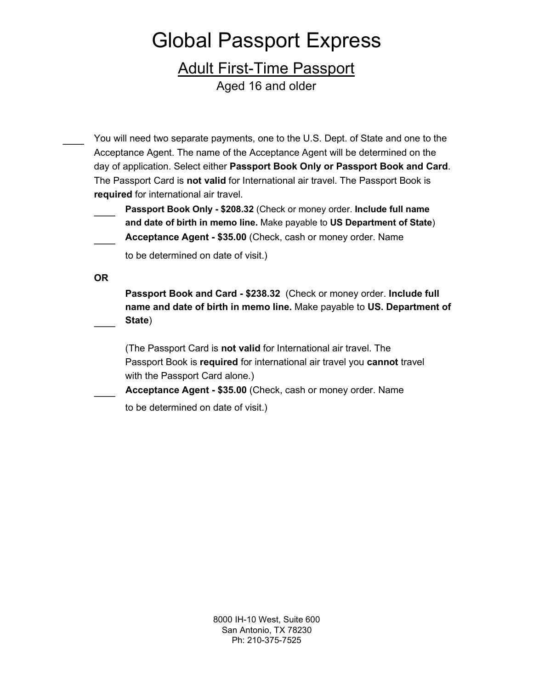### Adult First-Time Passport Aged 16 and older

You will need two separate payments, one to the U.S. Dept. of State and one to the Acceptance Agent. The name of the Acceptance Agent will be determined on the day of application. Select either **Passport Book Only or Passport Book and Card**. The Passport Card is **not valid** for International air travel. The Passport Book is **required** for international air travel.

**Passport Book Only - \$208.32** (Check or money order. **Include full name and date of birth in memo line.** Make payable to **US Department of State**)

**Acceptance Agent - \$35.00** (Check, cash or money order. Name

to be determined on date of visit.)

**OR**

**Passport Book and Card - \$238.32** (Check or money order. **Include full name and date of birth in memo line.** Make payable to **US. Department of State**)

(The Passport Card is **not valid** for International air travel. The Passport Book is **required** for international air travel you **cannot** travel with the Passport Card alone.)

**Acceptance Agent - \$35.00** (Check, cash or money order. Name

to be determined on date of visit.)